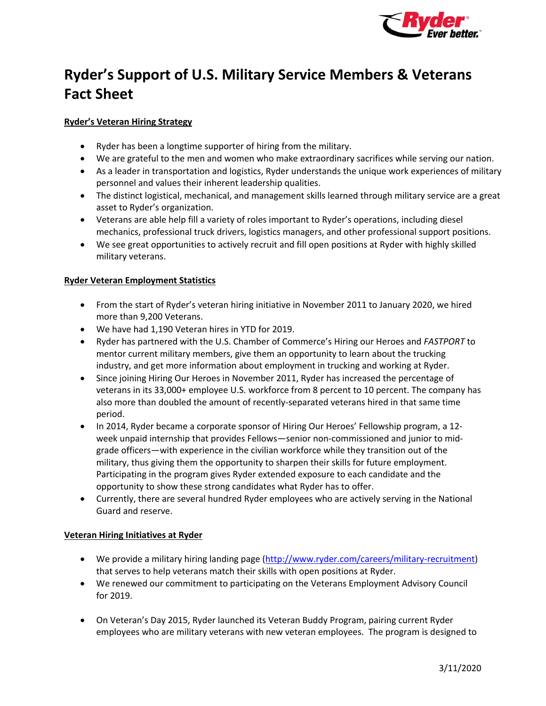

# **Ryder's Support of U.S. Military Service Members & Veterans Fact Sheet**

## **Ryder's Veteran Hiring Strategy**

- Ryder has been a longtime supporter of hiring from the military.
- We are grateful to the men and women who make extraordinary sacrifices while serving our nation.
- • As a leader in transportation and logistics, Ryder understands the unique work experiences of military personnel and values their inherent leadership qualities.
- The distinct logistical, mechanical, and management skills learned through military service are a great asset to Ryder's organization.
- • Veterans are able help fill a variety of roles important to Ryder's operations, including diesel mechanics, professional truck drivers, logistics managers, and other professional support positions.
- We see great opportunities to actively recruit and fill open positions at Ryder with highly skilled military veterans.

## **Ryder Veteran Employment Statistics**

- • From the start of Ryder's veteran hiring initiative in November 2011 to January 2020, we hired more than 9,200 Veterans.
- We have had 1,190 Veteran hires in YTD for 2019.
- • Ryder has partnered with the U.S. Chamber of Commerce's Hiring our Heroes and *FASTPORT* to mentor current military members, give them an opportunity to learn about the trucking industry, and get more information about employment in trucking and working at Ryder.
- • Since joining Hiring Our Heroes in November 2011, Ryder has increased the percentage of veterans in its 33,000+ employee U.S. workforce from 8 percent to 10 percent. The company has also more than doubled the amount of recently-separated veterans hired in that same time period.
- • In 2014, Ryder became a corporate sponsor of Hiring Our Heroes' Fellowship program, a 12- week unpaid internship that provides Fellows—senior non-commissioned and junior to mid- grade officers—with experience in the civilian workforce while they transition out of the military, thus giving them the opportunity to sharpen their skills for future employment. Participating in the program gives Ryder extended exposure to each candidate and the opportunity to show these strong candidates what Ryder has to offer.
- • Currently, there are several hundred Ryder employees who are actively serving in the National Guard and reserve.

## **Veteran Hiring Initiatives at Ryder**

- We provide a military hiring landing page ([http://www.ryder.com/careers/military-recruitment\)](http://www.ryder.com/careers/military-recruitment) that serves to help veterans match their skills with open positions at Ryder.
- • We renewed our commitment to participating on the Veterans Employment Advisory Council for 2019.
- • On Veteran's Day 2015, Ryder launched its Veteran Buddy Program, pairing current Ryder employees who are military veterans with new veteran employees. The program is designed to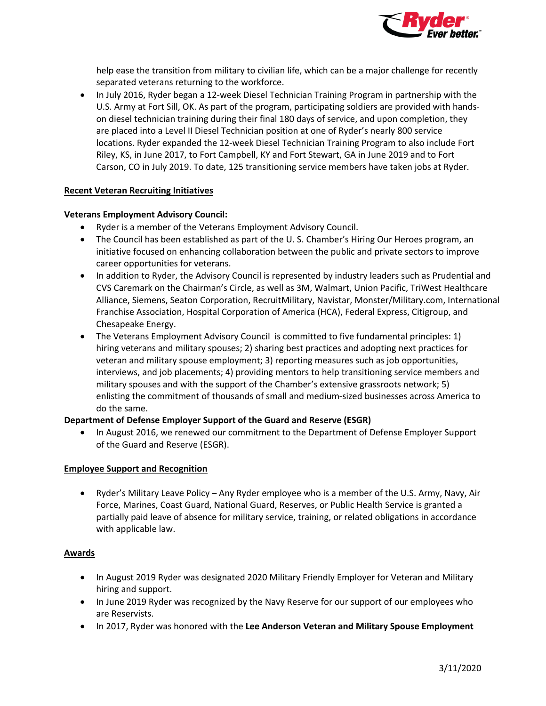

 help ease the transition from military to civilian life, which can be a major challenge for recently separated veterans returning to the workforce.

 • In July 2016, Ryder began a 12-week Diesel Technician Training Program in partnership with the U.S. Army at Fort Sill, OK. As part of the program, participating soldiers are provided with hands- on diesel technician training during their final 180 days of service, and upon completion, they are placed into a Level II Diesel Technician position at one of Ryder's nearly 800 service locations. Ryder expanded the 12-week Diesel Technician Training Program to also include Fort Riley, KS, in June 2017, to Fort Campbell, KY and Fort Stewart, GA in June 2019 and to Fort Carson, CO in July 2019. To date, 125 transitioning service members have taken jobs at Ryder.

#### **Recent Veteran Recruiting Initiatives**

#### **Veterans Employment Advisory Council:**

- Ryder is a member of the Veterans Employment Advisory Council.
- • The Council has been established as part of the U. S. Chamber's Hiring Our Heroes program, an initiative focused on enhancing collaboration between the public and private sectors to improve career opportunities for veterans.
- • In addition to Ryder, the Advisory Council is represented by industry leaders such as Prudential and Alliance, Siemens, Seaton Corporation, RecruitMilitary, Navistar, [Monster/Military.com](https://Monster/Military.com), International Chesapeake Energy. CVS Caremark on the Chairman's Circle, as well as 3M, Walmart, Union Pacific, TriWest Healthcare Franchise Association, Hospital Corporation of America (HCA), Federal Express, Citigroup, and
- • The Veterans Employment Advisory Council is committed to five fundamental principles: 1) hiring veterans and military spouses; 2) sharing best practices and adopting next practices for veteran and military spouse employment; 3) reporting measures such as job opportunities, military spouses and with the support of the Chamber's extensive grassroots network; 5) enlisting the commitment of thousands of small and medium-sized businesses across America to do the same. interviews, and job placements; 4) providing mentors to help transitioning service members and

## **Department of Defense Employer Support of the Guard and Reserve (ESGR)**

 • In August 2016, we renewed our commitment to the Department of Defense Employer Support of the Guard and Reserve (ESGR).

#### **Employee Support and Recognition**

 • Ryder's Military Leave Policy – Any Ryder employee who is a member of the U.S. Army, Navy, Air Force, Marines, Coast Guard, National Guard, Reserves, or Public Health Service is granted a partially paid leave of absence for military service, training, or related obligations in accordance with applicable law.

## **Awards**

- • In August 2019 Ryder was designated 2020 Military Friendly Employer for Veteran and Military hiring and support.
- are Reservists. • In June 2019 Ryder was recognized by the Navy Reserve for our support of our employees who
- In 2017, Ryder was honored with the **Lee Anderson Veteran and Military Spouse Employment**